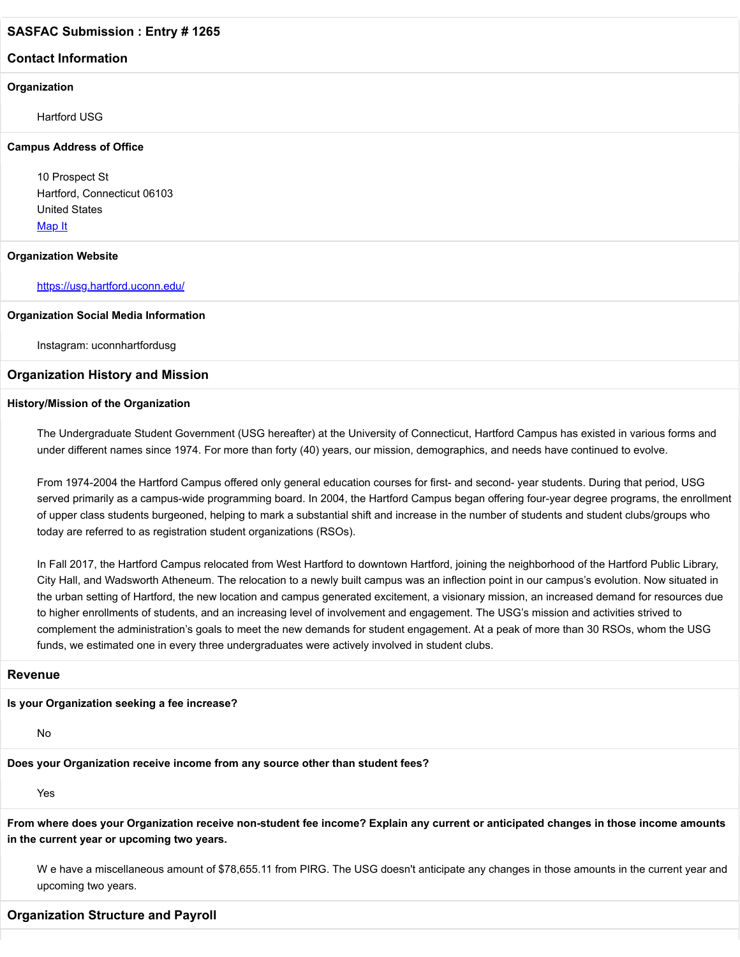#### **Contact Information**

#### **Organization**

Hartford USG

#### **Campus Address of Office**

10 Prospect St Hartford, Connecticut 06103 United States [Map It](http://maps.google.com/maps?q=10+Prospect+St+Hartford%2C+Connecticut+06103+United+States)

#### **Organization Website**

<https://usg.hartford.uconn.edu/>

#### **Organization Social Media Information**

Instagram: uconnhartfordusg

#### **Organization History and Mission**

#### **History/Mission of the Organization**

The Undergraduate Student Government (USG hereafter) at the University of Connecticut, Hartford Campus has existed in various forms and under different names since 1974. For more than forty (40) years, our mission, demographics, and needs have continued to evolve.

From 1974-2004 the Hartford Campus offered only general education courses for first- and second- year students. During that period, USG served primarily as a campus-wide programming board. In 2004, the Hartford Campus began offering four-year degree programs, the enrollment of upper class students burgeoned, helping to mark a substantial shift and increase in the number of students and student clubs/groups who today are referred to as registration student organizations (RSOs).

In Fall 2017, the Hartford Campus relocated from West Hartford to downtown Hartford, joining the neighborhood of the Hartford Public Library, City Hall, and Wadsworth Atheneum. The relocation to a newly built campus was an inflection point in our campus's evolution. Now situated in the urban setting of Hartford, the new location and campus generated excitement, a visionary mission, an increased demand for resources due to higher enrollments of students, and an increasing level of involvement and engagement. The USG's mission and activities strived to complement the administration's goals to meet the new demands for student engagement. At a peak of more than 30 RSOs, whom the USG funds, we estimated one in every three undergraduates were actively involved in student clubs.

#### **Revenue**

#### **Is your Organization seeking a fee increase?**

No

**Does your Organization receive income from any source other than student fees?**

Yes

**From where does your Organization receive non-student fee income? Explain any current or anticipated changes in those income amounts in the current year or upcoming two years.**

W e have a miscellaneous amount of \$78,655.11 from PIRG. The USG doesn't anticipate any changes in those amounts in the current year and upcoming two years.

#### **Organization Structure and Payroll**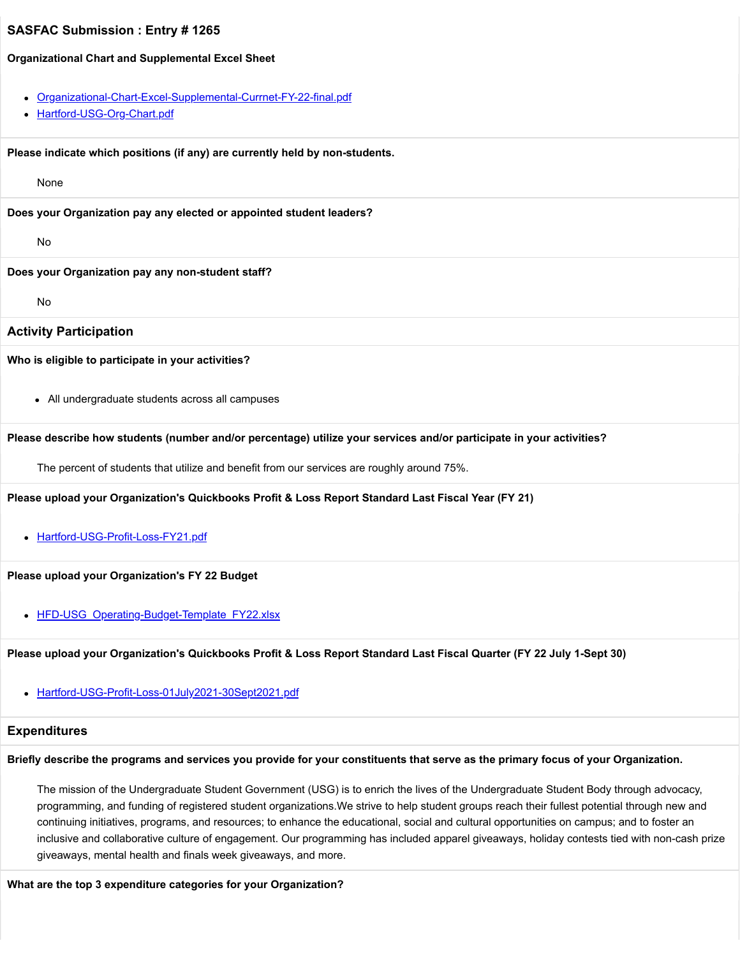#### **Organizational Chart and Supplemental Excel Sheet**

- [Organizational-Chart-Excel-Supplemental-Currnet-FY-22-final.pdf](https://trusteeorgsupport.uconn.edu/index.php?gf-download=2022%2F02%2FOrganizational-Chart-Excel-Supplemental-Currnet-FY-22-final.pdf&form-id=18&field-id=13&hash=e31e5c7141d139edfc33a12862a319a27410d4c35cf86043b8bef1b2e3738bb1)
- [Hartford-USG-Org-Chart.pdf](https://trusteeorgsupport.uconn.edu/index.php?gf-download=2022%2F02%2FHartford-USG-Org-Chart.pdf&form-id=18&field-id=13&hash=de1c1ad9cf0f44bd4f898355e537504551a70ba827f4db9ab8fdf536941387e5)

**Please indicate which positions (if any) are currently held by non-students.**

None

**Does your Organization pay any elected or appointed student leaders?**

No

#### **Does your Organization pay any non-student staff?**

No

#### **Activity Participation**

#### **Who is eligible to participate in your activities?**

All undergraduate students across all campuses

#### **Please describe how students (number and/or percentage) utilize your services and/or participate in your activities?**

The percent of students that utilize and benefit from our services are roughly around 75%.

#### **Please upload your Organization's Quickbooks Profit & Loss Report Standard Last Fiscal Year (FY 21)**

• [Hartford-USG-Profit-Loss-FY21.pdf](https://trusteeorgsupport.uconn.edu/index.php?gf-download=2022%2F02%2FHartford-USG-Profit-Loss-FY21.pdf&form-id=18&field-id=62&hash=4b31f4e49d6efebfd512795b34c16f509de743bbd1728d8eb3f1f3f2e21bad97)

#### **Please upload your Organization's FY 22 Budget**

• HFD-USG Operating-Budget-Template FY22.xlsx

**Please upload your Organization's Quickbooks Profit & Loss Report Standard Last Fiscal Quarter (FY 22 July 1-Sept 30)**

[Hartford-USG-Profit-Loss-01July2021-30Sept2021.pdf](https://trusteeorgsupport.uconn.edu/index.php?gf-download=2022%2F02%2FHartford-USG-Profit-Loss-01July2021-30Sept2021.pdf&form-id=18&field-id=64&hash=b72b8625deb20946680dc1d4c9cfae9b9b258ab26554c78bdc22ea4de2197513)

#### **Expenditures**

#### **Briefly describe the programs and services you provide for your constituents that serve as the primary focus of your Organization.**

The mission of the Undergraduate Student Government (USG) is to enrich the lives of the Undergraduate Student Body through advocacy, programming, and funding of registered student organizations.We strive to help student groups reach their fullest potential through new and continuing initiatives, programs, and resources; to enhance the educational, social and cultural opportunities on campus; and to foster an inclusive and collaborative culture of engagement. Our programming has included apparel giveaways, holiday contests tied with non-cash prize giveaways, mental health and finals week giveaways, and more.

#### **What are the top 3 expenditure categories for your Organization?**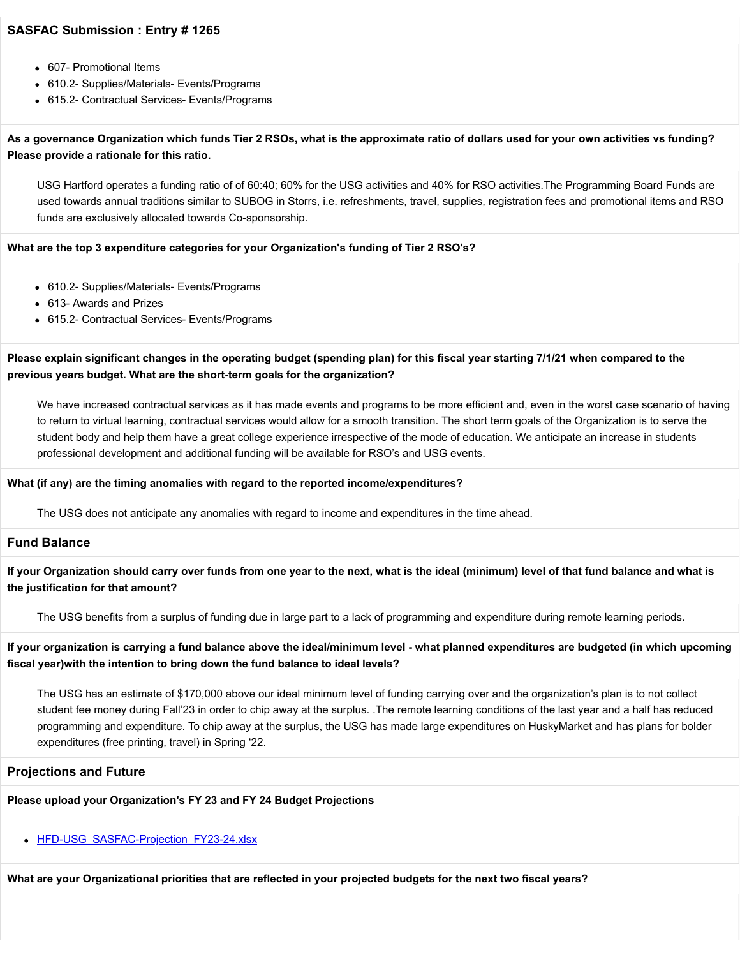- 607- Promotional Items
- 610.2- Supplies/Materials- Events/Programs
- 615.2- Contractual Services- Events/Programs

### **As a governance Organization which funds Tier 2 RSOs, what is the approximate ratio of dollars used for your own activities vs funding? Please provide a rationale for this ratio.**

USG Hartford operates a funding ratio of of 60:40; 60% for the USG activities and 40% for RSO activities.The Programming Board Funds are used towards annual traditions similar to SUBOG in Storrs, i.e. refreshments, travel, supplies, registration fees and promotional items and RSO funds are exclusively allocated towards Co-sponsorship.

#### **What are the top 3 expenditure categories for your Organization's funding of Tier 2 RSO's?**

- 610.2- Supplies/Materials- Events/Programs
- 613- Awards and Prizes
- 615.2- Contractual Services- Events/Programs

### **Please explain significant changes in the operating budget (spending plan) for this fiscal year starting 7/1/21 when compared to the previous years budget. What are the short-term goals for the organization?**

We have increased contractual services as it has made events and programs to be more efficient and, even in the worst case scenario of having to return to virtual learning, contractual services would allow for a smooth transition. The short term goals of the Organization is to serve the student body and help them have a great college experience irrespective of the mode of education. We anticipate an increase in students professional development and additional funding will be available for RSO's and USG events.

#### **What (if any) are the timing anomalies with regard to the reported income/expenditures?**

The USG does not anticipate any anomalies with regard to income and expenditures in the time ahead.

#### **Fund Balance**

**If your Organization should carry over funds from one year to the next, what is the ideal (minimum) level of that fund balance and what is the justification for that amount?**

The USG benefits from a surplus of funding due in large part to a lack of programming and expenditure during remote learning periods.

**If your organization is carrying a fund balance above the ideal/minimum level - what planned expenditures are budgeted (in which upcoming fiscal year)with the intention to bring down the fund balance to ideal levels?**

The USG has an estimate of \$170,000 above our ideal minimum level of funding carrying over and the organization's plan is to not collect student fee money during Fall'23 in order to chip away at the surplus. .The remote learning conditions of the last year and a half has reduced programming and expenditure. To chip away at the surplus, the USG has made large expenditures on HuskyMarket and has plans for bolder expenditures (free printing, travel) in Spring '22.

#### **Projections and Future**

### **Please upload your Organization's FY 23 and FY 24 Budget Projections**

[HFD-USG\\_SASFAC-Projection\\_FY23-24.xlsx](https://trusteeorgsupport.uconn.edu/index.php?gf-download=2022%2F02%2FHFD-USG_SASFAC-Projection_FY23-24.xlsx&form-id=18&field-id=63&hash=2938942c55812eddcdd6c6c52dbdbdb5309b9e0340b62adf75ec096e1819259f)

**What are your Organizational priorities that are reflected in your projected budgets for the next two fiscal years?**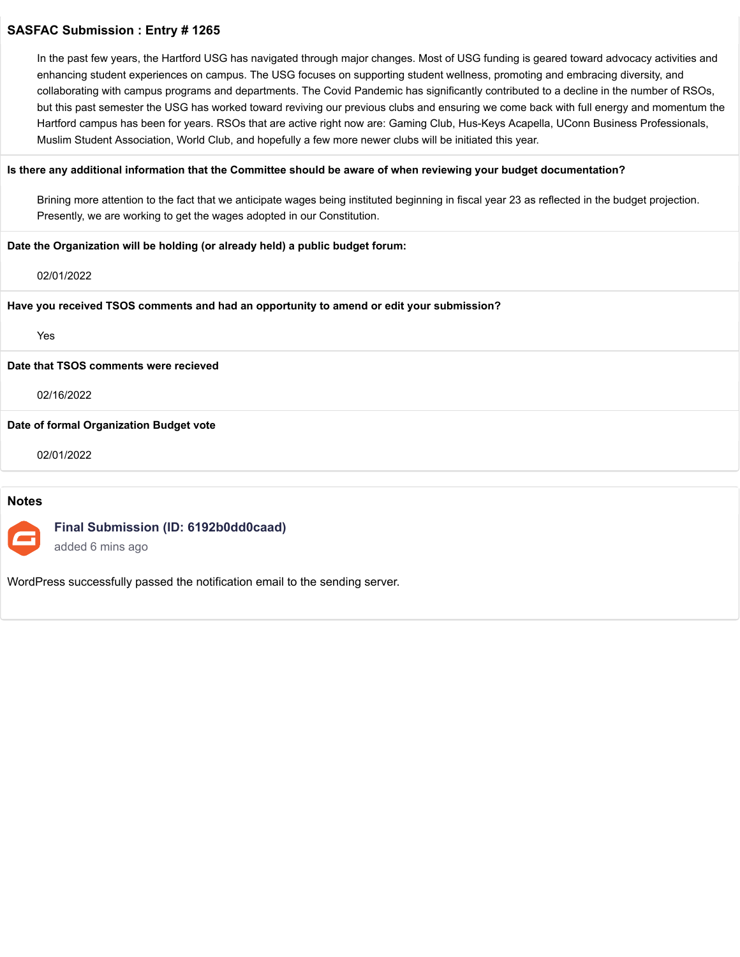In the past few years, the Hartford USG has navigated through major changes. Most of USG funding is geared toward advocacy activities and enhancing student experiences on campus. The USG focuses on supporting student wellness, promoting and embracing diversity, and collaborating with campus programs and departments. The Covid Pandemic has significantly contributed to a decline in the number of RSOs, but this past semester the USG has worked toward reviving our previous clubs and ensuring we come back with full energy and momentum the Hartford campus has been for years. RSOs that are active right now are: Gaming Club, Hus-Keys Acapella, UConn Business Professionals, Muslim Student Association, World Club, and hopefully a few more newer clubs will be initiated this year.

#### **Is there any additional information that the Committee should be aware of when reviewing your budget documentation?**

Brining more attention to the fact that we anticipate wages being instituted beginning in fiscal year 23 as reflected in the budget projection. Presently, we are working to get the wages adopted in our Constitution.

#### **Date the Organization will be holding (or already held) a public budget forum:**

02/01/2022

#### **Have you received TSOS comments and had an opportunity to amend or edit your submission?**

Yes

#### **Date that TSOS comments were recieved**

#### 02/16/2022

**Date of formal Organization Budget vote**

02/01/2022

#### **Notes**

### **Final Submission (ID: 6192b0dd0caad)**

added 6 mins ago

WordPress successfully passed the notification email to the sending server.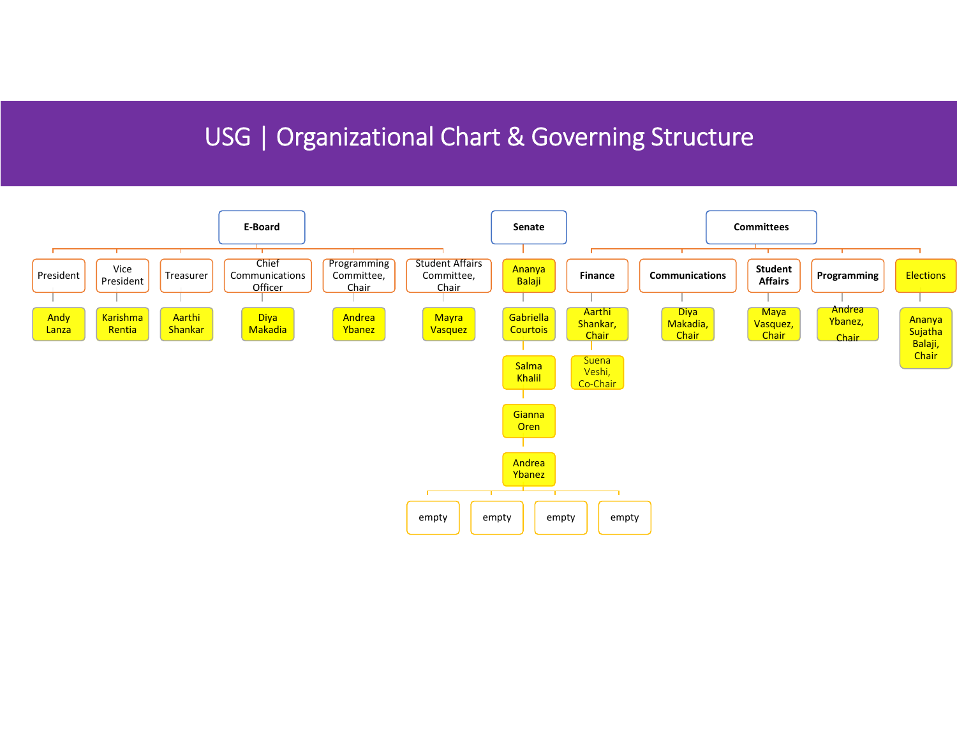# USG | Organizational Chart & Governing Structure

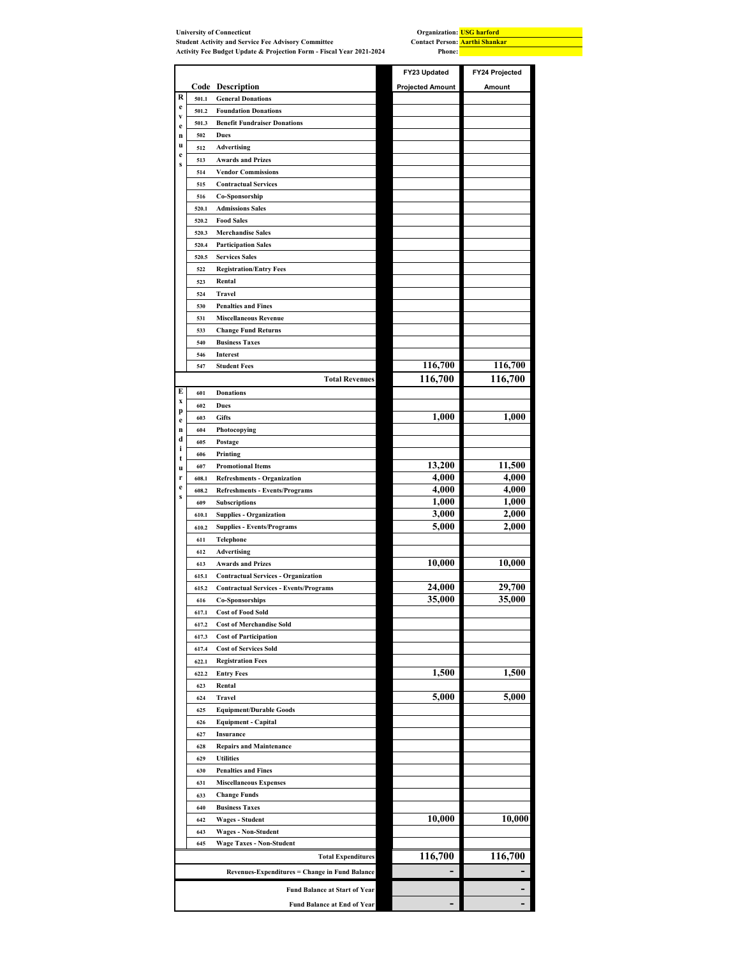|                            |       | <b>University of Connecticut</b>                                     | Organization: USG harford                              |                |
|----------------------------|-------|----------------------------------------------------------------------|--------------------------------------------------------|----------------|
|                            |       | <b>Student Activity and Service Fee Advisory Committee</b>           | <b>Contact Person:</b> Aarthi Shankar<br><b>Phone:</b> |                |
|                            |       | Activity Fee Budget Update & Projection Form - Fiscal Year 2021-2024 |                                                        |                |
|                            |       |                                                                      | FY23 Updated                                           | FY24 Projected |
|                            |       | Code Description                                                     | <b>Projected Amount</b>                                | Amount         |
| R                          | 501.1 | <b>General Donations</b>                                             |                                                        |                |
| e                          | 501.2 | <b>Foundation Donations</b>                                          |                                                        |                |
| V                          | 501.3 | <b>Benefit Fundraiser Donations</b>                                  |                                                        |                |
| $\mathbf e$<br>$\mathbf n$ | 502   | Dues                                                                 |                                                        |                |
| u                          |       |                                                                      |                                                        |                |
| e                          | 512   | Advertising                                                          |                                                        |                |
| $\bf{s}$                   | 513   | <b>Awards and Prizes</b>                                             |                                                        |                |
|                            | 514   | <b>Vendor Commissions</b>                                            |                                                        |                |
|                            | 515   | <b>Contractual Services</b>                                          |                                                        |                |
|                            | 516   | Co-Sponsorship                                                       |                                                        |                |
|                            | 520.1 | <b>Admissions Sales</b>                                              |                                                        |                |
|                            | 520.2 | <b>Food Sales</b>                                                    |                                                        |                |
|                            | 520.3 | <b>Merchandise Sales</b>                                             |                                                        |                |
|                            | 520.4 | <b>Participation Sales</b>                                           |                                                        |                |
|                            | 520.5 | <b>Services Sales</b>                                                |                                                        |                |
|                            | 522   | <b>Registration/Entry Fees</b>                                       |                                                        |                |
|                            | 523   | Rental                                                               |                                                        |                |
|                            | 524   | Travel                                                               |                                                        |                |
|                            | 530   | <b>Penalties and Fines</b>                                           |                                                        |                |
|                            | 531   | <b>Miscellaneous Revenue</b>                                         |                                                        |                |
|                            | 533   | <b>Change Fund Returns</b>                                           |                                                        |                |
|                            | 540   | <b>Business Taxes</b>                                                |                                                        |                |
|                            |       |                                                                      |                                                        |                |
|                            | 546   | Interest                                                             | 116,700                                                | 116,700        |
|                            | 547   | <b>Student Fees</b>                                                  |                                                        |                |
|                            |       | <b>Total Revenues</b>                                                | 116,700                                                | 116,700        |
| E<br>X                     | 601   | <b>Donations</b>                                                     |                                                        |                |
| p                          | 602   | Dues                                                                 |                                                        |                |
|                            | 603   | <b>Gifts</b>                                                         | 1,000                                                  | 1,000          |
|                            | 604   | Photocopying                                                         |                                                        |                |
|                            | 605   | Postage                                                              |                                                        |                |
| i                          | 606   | Printing                                                             |                                                        |                |
| t<br>u                     | 607   | <b>Promotional Items</b>                                             | 13,200                                                 | 11,500         |
| r                          | 608.1 | <b>Refreshments - Organization</b>                                   | 4,000                                                  | 4,000          |
| e                          | 608.2 | <b>Refreshments - Events/Programs</b>                                | 4,000                                                  | 4,000          |
| S                          | 609   | Subscriptions                                                        | 1,000                                                  | 1,000          |
|                            | 610.1 | <b>Supplies - Organization</b>                                       | 3,000                                                  | 2,000          |
|                            | 610.2 | <b>Supplies - Events/Programs</b>                                    | 5,000                                                  | 2,000          |
|                            |       |                                                                      |                                                        |                |
|                            | 611   | Telephone                                                            |                                                        |                |
|                            | 612   | Advertising                                                          | 10,000                                                 | 10,000         |
|                            | 613   | <b>Awards and Prizes</b>                                             |                                                        |                |
|                            | 615.1 | <b>Contractual Services - Organization</b>                           |                                                        |                |
|                            | 615.2 | <b>Contractual Services - Events/Programs</b>                        | 24,000                                                 | 29,700         |
|                            | 616   | <b>Co-Sponsorships</b>                                               | 35,000                                                 | 35,000         |
|                            | 617.1 | <b>Cost of Food Sold</b>                                             |                                                        |                |
|                            | 617.2 | <b>Cost of Merchandise Sold</b>                                      |                                                        |                |
|                            | 617.3 | <b>Cost of Participation</b>                                         |                                                        |                |
|                            | 617.4 | <b>Cost of Services Sold</b>                                         |                                                        |                |
|                            | 622.1 | <b>Registration Fees</b>                                             |                                                        |                |
|                            | 622.2 | <b>Entry Fees</b>                                                    | 1,500                                                  | 1,500          |
|                            | 623   | Rental                                                               |                                                        |                |
|                            | 624   | Travel                                                               | 5,000                                                  | 5,000          |
|                            | 625   | <b>Equipment/Durable Goods</b>                                       |                                                        |                |
|                            | 626   | <b>Equipment - Capital</b>                                           |                                                        |                |
|                            | 627   | Insurance                                                            |                                                        |                |
|                            | 628   | <b>Repairs and Maintenance</b>                                       |                                                        |                |
|                            | 629   | <b>Utilities</b>                                                     |                                                        |                |
|                            |       |                                                                      |                                                        |                |
|                            | 630   | <b>Penalties and Fines</b>                                           |                                                        |                |
|                            | 631   | <b>Miscellaneous Expenses</b>                                        |                                                        |                |
|                            | 633   | <b>Change Funds</b>                                                  |                                                        |                |
|                            | 640   | <b>Business Taxes</b>                                                |                                                        |                |
|                            | 642   | <b>Wages - Student</b>                                               | 10,000                                                 | 10,000         |
|                            | 643   | <b>Wages - Non-Student</b>                                           |                                                        |                |
|                            | 645   | <b>Wage Taxes - Non-Student</b>                                      |                                                        |                |
|                            |       | <b>Total Expenditures</b>                                            | 116,700                                                | 116,700        |
|                            |       | Revenues-Expenditures = Change in Fund Balance                       |                                                        |                |
|                            |       |                                                                      |                                                        |                |
|                            |       | <b>Fund Balance at Start of Year</b>                                 |                                                        |                |
|                            |       | <b>Fund Balance at End of Year</b>                                   |                                                        |                |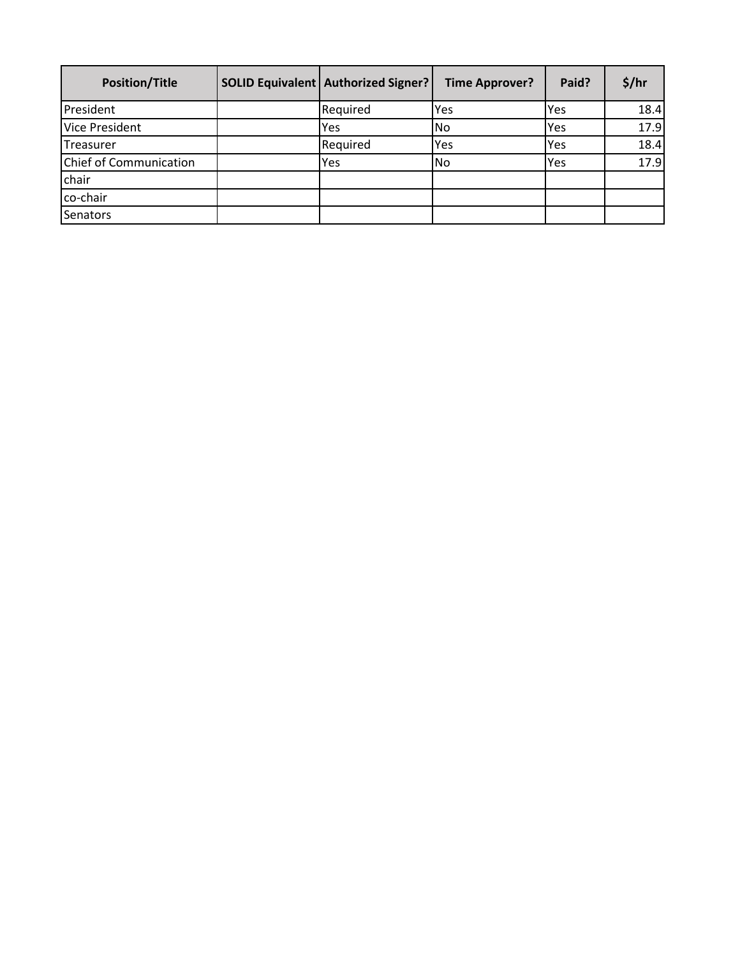| <b>Position/Title</b>  | <b>SOLID Equivalent   Authorized Signer?</b> | <b>Time Approver?</b> | Paid?      | \$/hr |
|------------------------|----------------------------------------------|-----------------------|------------|-------|
| President              | Required                                     | Yes                   | <b>Yes</b> | 18.4  |
| <b>Vice President</b>  | Yes                                          | <b>No</b>             | Yes        | 17.9  |
| Treasurer              | Required                                     | Yes                   | Yes        | 18.4  |
| Chief of Communication | Yes                                          | <b>No</b>             | <b>Yes</b> | 17.9  |
| chair                  |                                              |                       |            |       |
| co-chair               |                                              |                       |            |       |
| Senators               |                                              |                       |            |       |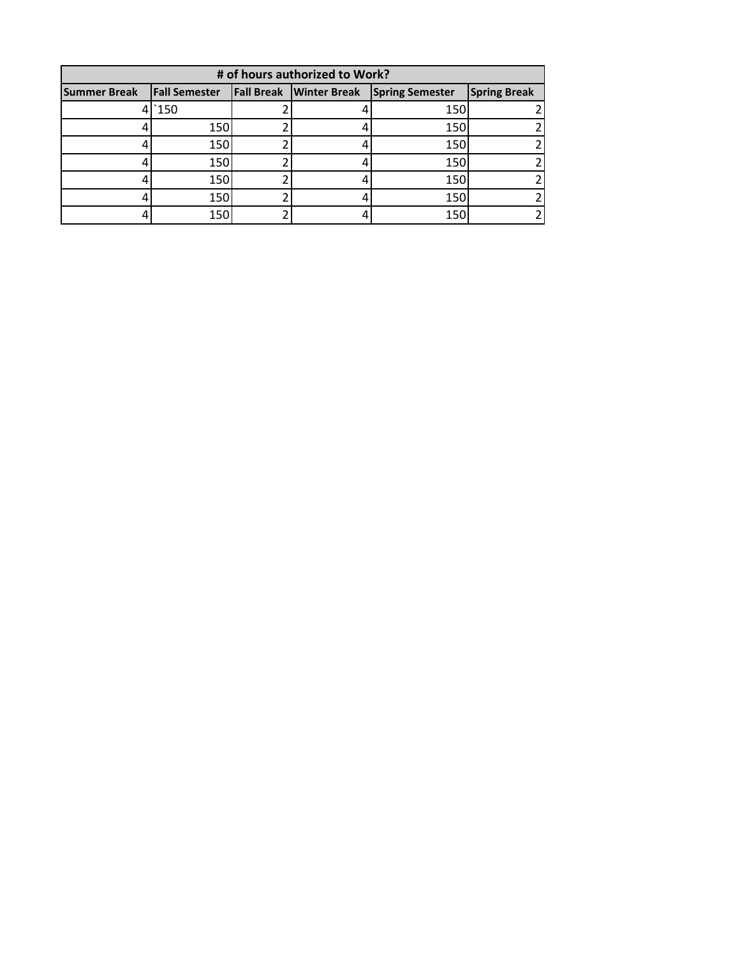| # of hours authorized to Work? |                      |  |                                |                        |                     |  |  |
|--------------------------------|----------------------|--|--------------------------------|------------------------|---------------------|--|--|
| <b>Summer Break</b>            | <b>Fall Semester</b> |  | <b>Fall Break Winter Break</b> | <b>Spring Semester</b> | <b>Spring Break</b> |  |  |
| 41                             | `150                 |  |                                | 150                    |                     |  |  |
|                                | 150                  |  |                                | 150                    |                     |  |  |
|                                | 150                  |  |                                | 150                    |                     |  |  |
|                                | 150                  |  |                                | 150                    |                     |  |  |
|                                | 150                  |  |                                | 150                    |                     |  |  |
|                                | 150                  |  |                                | 150                    |                     |  |  |
|                                | 150                  |  |                                | 150                    |                     |  |  |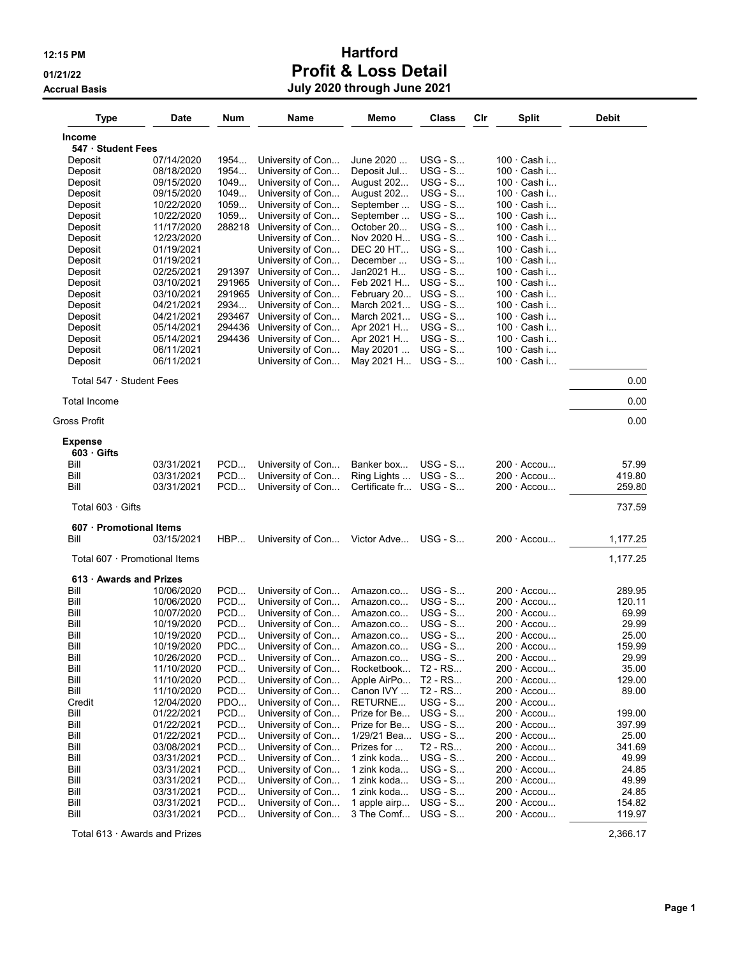# 12:15 PM **Hartford** 01/21/22 Profit & Loss Detail Accrual Basis July 2020 through June 2021

| <b>Type</b>                    | Date                     | Num              | Name                                   | Memo                      | Class                  | Cir | Split                                    | <b>Debit</b>   |
|--------------------------------|--------------------------|------------------|----------------------------------------|---------------------------|------------------------|-----|------------------------------------------|----------------|
| <b>Income</b>                  |                          |                  |                                        |                           |                        |     |                                          |                |
| 547 · Student Fees             |                          |                  |                                        |                           |                        |     |                                          |                |
| Deposit                        | 07/14/2020               | 1954             | University of Con                      | June 2020                 | $USG - S$              |     | $100 \cdot$ Cash i                       |                |
| Deposit                        | 08/18/2020               | 1954             | University of Con                      | Deposit Jul               | $USG - S$              |     | 100 · Cash i                             |                |
| Deposit                        | 09/15/2020               | 1049             | University of Con                      | August 202                | $USG - S$              |     | $100 \cdot$ Cash i                       |                |
| Deposit                        | 09/15/2020               | 1049             | University of Con                      | August 202                | $USG - S$              |     | $100 \cdot$ Cash i                       |                |
| Deposit                        | 10/22/2020               | 1059             | University of Con                      | September                 | $USG - S$              |     | $100 \cdot$ Cash i                       |                |
| Deposit                        | 10/22/2020               | 1059             | University of Con                      | September                 | $USG - S$              |     | $100 \cdot$ Cash i                       |                |
| Deposit                        | 11/17/2020               | 288218           | University of Con                      | October 20                | $USG - S$              |     | 100 · Cash i                             |                |
| Deposit                        | 12/23/2020               |                  | University of Con                      | Nov 2020 H                | $USG - S$              |     | $100 \cdot$ Cash i                       |                |
| Deposit                        | 01/19/2021               |                  | University of Con                      | <b>DEC 20 HT</b>          | $USG - S$              |     | $100 \cdot$ Cash i                       |                |
| Deposit                        | 01/19/2021               |                  | University of Con                      | December                  | $USG - S$              |     | $100 \cdot$ Cash i<br>100 · Cash i       |                |
| Deposit                        | 02/25/2021               | 291397           | University of Con                      | Jan2021 H                 | $USG - S$<br>$USG - S$ |     |                                          |                |
| Deposit                        | 03/10/2021               | 291965<br>291965 | University of Con                      | Feb 2021 H                | $USG - S$              |     | $100 \cdot$ Cash i<br>$100 \cdot$ Cash i |                |
| Deposit<br>Deposit             | 03/10/2021<br>04/21/2021 | 2934             | University of Con<br>University of Con | February 20<br>March 2021 | $USG - S$              |     | $100 \cdot$ Cash i                       |                |
| Deposit                        | 04/21/2021               | 293467           | University of Con                      | March 2021                | $USG - S$              |     | $100 \cdot$ Cash i                       |                |
| Deposit                        | 05/14/2021               | 294436           | University of Con                      | Apr 2021 H                | $USG - S$              |     | $100 \cdot$ Cash i                       |                |
| Deposit                        | 05/14/2021               | 294436           | University of Con                      | Apr 2021 H                | $USG - S$              |     | $100 \cdot$ Cash i                       |                |
| Deposit                        | 06/11/2021               |                  | University of Con                      | May 20201                 | $USG - S$              |     | $100 \cdot$ Cash i                       |                |
| Deposit                        | 06/11/2021               |                  | University of Con                      | May 2021 H                | $USG - S$              |     | 100 · Cash i                             |                |
| Total $547 \cdot$ Student Fees |                          |                  |                                        |                           |                        |     |                                          | 0.00           |
| <b>Total Income</b>            |                          |                  |                                        |                           |                        |     |                                          | 0.00           |
| Gross Profit                   |                          |                  |                                        |                           |                        |     |                                          | 0.00           |
| <b>Expense</b>                 |                          |                  |                                        |                           |                        |     |                                          |                |
| $603 \cdot$ Gifts              |                          |                  |                                        |                           |                        |     |                                          |                |
| Bill                           | 03/31/2021               | PCD              | University of Con                      | Banker box                | $USG - S$              |     | $200 \cdot$ Accou                        | 57.99          |
| Bill                           | 03/31/2021               | PCD              | University of Con                      | Ring Lights               | $USG - S$              |     | $200 \cdot$ Accou                        | 419.80         |
| Bill                           | 03/31/2021               | PCD              | University of Con                      | Certificate fr            | $USG - S$              |     | $200 \cdot$ Accou                        | 259.80         |
| Total $603 \cdot$ Gifts        |                          |                  |                                        |                           |                        |     |                                          | 737.59         |
| 607 · Promotional Items        |                          |                  |                                        |                           |                        |     |                                          |                |
| Bill                           | 03/15/2021               | HBP              | University of Con                      | Victor Adve               | $USG - S$              |     | $200 \cdot$ Accou                        | 1,177.25       |
| Total 607 · Promotional Items  |                          |                  |                                        |                           |                        |     |                                          | 1,177.25       |
| 613 Awards and Prizes          |                          |                  |                                        |                           |                        |     |                                          |                |
| Bill                           | 10/06/2020               | PCD              | University of Con                      | Amazon.co                 | $USG - S$              |     | $200 \cdot$ Accou                        | 289.95         |
| Bill                           | 10/06/2020               | PCD              | University of Con                      | Amazon.co                 | $USG - S$              |     | $200 \cdot$ Accou                        | 120.11         |
| Bill                           | 10/07/2020               | PCD              | University of Con                      | Amazon.co                 | $USG - S$              |     | 200 · Accou                              | 69.99          |
| Bill                           | 10/19/2020               | PCD              | University of Con                      | Amazon.co                 | $USG - S$              |     | $200 \cdot$ Accou                        | 29.99          |
| Bill                           | 10/19/2020               | PCD              | University of Con                      | Amazon.co                 | USG - S                |     | $200 \cdot$ Accou                        | 25.00          |
| Bill                           | 10/19/2020               | PDC              | University of Con                      | Amazon.co                 | $USG - S$              |     | $200 \cdot$ Accou                        | 159.99         |
| Bill<br>Bill                   | 10/26/2020<br>11/10/2020 | PCD<br>PCD       | University of Con<br>University of Con | Amazon.co<br>Rocketbook   | $USG - S$<br>T2 - RS   |     | $200 \cdot$ Accou<br>$200 \cdot$ Accou   | 29.99<br>35.00 |
| Bill                           | 11/10/2020               | PCD              | University of Con                      | Apple AirPo               | T2 - RS                |     | $200 \cdot$ Accou                        | 129.00         |
| Bill                           | 11/10/2020               | PCD              | University of Con                      | Canon IVY                 | T2 - RS                |     | $200 \cdot$ Accou                        | 89.00          |
| Credit                         | 12/04/2020               | PDO              | University of Con                      | RETURNE                   | $USG - S$              |     | $200 \cdot$ Accou                        |                |
| Bill                           | 01/22/2021               | PCD              | University of Con                      | Prize for Be              | $USG - S$              |     | $200 \cdot$ Accou                        | 199.00         |
| Bill                           | 01/22/2021               | PCD              | University of Con                      | Prize for Be              | $USG - S$              |     | $200 \cdot$ Accou                        | 397.99         |
| Bill                           | 01/22/2021               | PCD              | University of Con                      | 1/29/21 Bea               | $USG - S$              |     | $200 \cdot$ Accou                        | 25.00          |
| Bill                           | 03/08/2021               | PCD              | University of Con                      | Prizes for                | T2 - RS                |     | $200 \cdot$ Accou                        | 341.69         |
| Bill                           | 03/31/2021               | PCD              | University of Con                      | 1 zink koda               | $USG - S$              |     | $200 \cdot$ Accou                        | 49.99          |
| Bill                           | 03/31/2021               | PCD              | University of Con                      | 1 zink koda               | $USG - S$              |     | $200 \cdot$ Accou                        | 24.85          |
| Bill                           | 03/31/2021               | PCD              | University of Con                      | 1 zink koda               | $USG - S$              |     | $200 \cdot$ Accou                        | 49.99          |
| Bill                           | 03/31/2021               | PCD              | University of Con                      | 1 zink koda               | $USG - S$              |     | $200 \cdot$ Accou                        | 24.85          |
| Bill                           | 03/31/2021               | PCD              | University of Con                      | 1 apple airp              | $USG - S$              |     | $200 \cdot$ Accou                        | 154.82         |
| Bill                           | 03/31/2021               | PCD              | University of Con                      | 3 The Comf                | <b>USG - S</b>         |     | 200 · Accou                              | 119.97         |

Total 613 · Awards and Prizes 2,366.17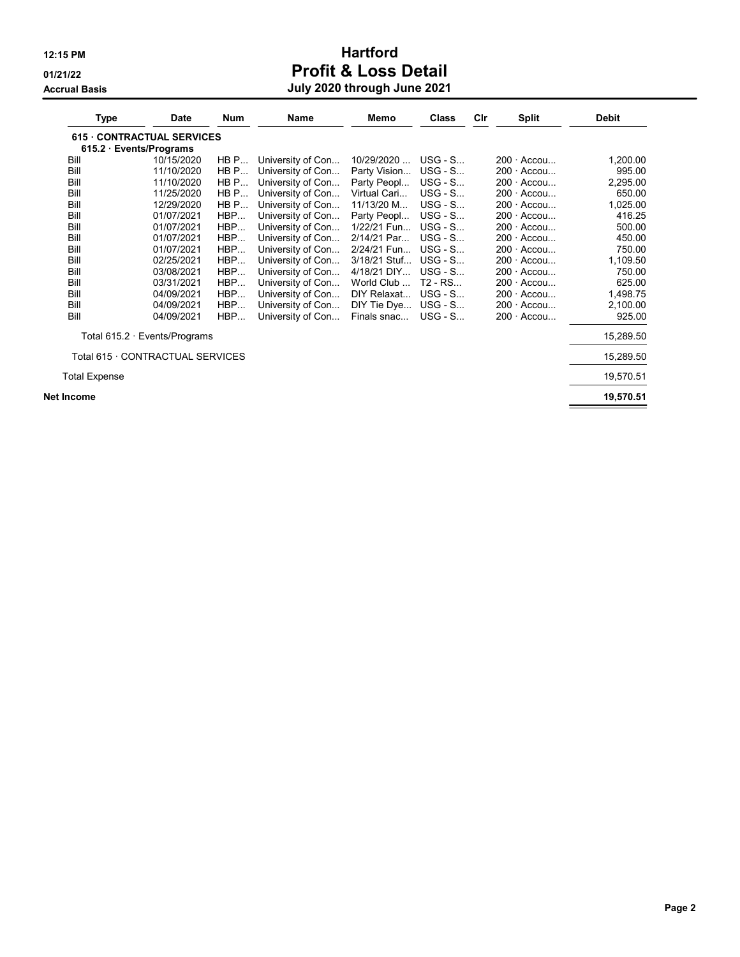# 12:15 PM **Hartford** 01/21/22 **Profit & Loss Detail** Accrual Basis July 2020 through June 2021

| Type                 | Date                                | <b>Num</b> | <b>Name</b>       | Memo         | <b>Class</b> | Cir | <b>Split</b>      | <b>Debit</b> |
|----------------------|-------------------------------------|------------|-------------------|--------------|--------------|-----|-------------------|--------------|
|                      | <b>615 CONTRACTUAL SERVICES</b>     |            |                   |              |              |     |                   |              |
|                      | 615.2 Events/Programs               |            |                   |              |              |     |                   |              |
| Bill                 | 10/15/2020                          | HB P       | University of Con | 10/29/2020   | $USG - S$    |     | $200 \cdot$ Accou | 1,200.00     |
| Bill                 | 11/10/2020                          | HB P       | University of Con | Party Vision | $USG - S$    |     | $200 \cdot$ Accou | 995.00       |
| Bill                 | 11/10/2020                          | HB P       | University of Con | Party Peopl  | $USG - S$    |     | $200 \cdot$ Accou | 2,295.00     |
| Bill                 | 11/25/2020                          | HBP        | University of Con | Virtual Cari | $USG - S$    |     | $200 \cdot$ Accou | 650.00       |
| Bill                 | 12/29/2020                          | HB P       | University of Con | 11/13/20 M   | $USG - S$    |     | $200 -$<br>Accou  | 1,025.00     |
| Bill                 | 01/07/2021                          | HBP        | University of Con | Party Peopl  | $USG - S$    |     | $200 \cdot$ Accou | 416.25       |
| Bill                 | 01/07/2021                          | HBP        | University of Con | 1/22/21 Fun  | $USG - S$    |     | $200 \cdot$ Accou | 500.00       |
| Bill                 | 01/07/2021                          | HBP        | University of Con | 2/14/21 Par  | $USG - S$    |     | $200 \cdot$ Accou | 450.00       |
| Bill                 | 01/07/2021                          | HBP        | University of Con | 2/24/21 Fun  | $USG - S$    |     | $200 \cdot$ Accou | 750.00       |
| Bill                 | 02/25/2021                          | HBP        | University of Con | 3/18/21 Stuf | $USG - S$    |     | $200 \cdot$ Accou | 1,109.50     |
| Bill                 | 03/08/2021                          | HBP        | University of Con | 4/18/21 DIY  | $USG - S$    |     | $200 \cdot$ Accou | 750.00       |
| Bill                 | 03/31/2021                          | HBP        | University of Con | World Club   | T2 - RS      |     | $200 \cdot$ Accou | 625.00       |
| Bill                 | 04/09/2021                          | HBP        | University of Con | DIY Relaxat  | $USG - S$    |     | $200 \cdot$ Accou | 1,498.75     |
| Bill                 | 04/09/2021                          | HBP        | University of Con | DIY Tie Dye  | $USG - S$    |     | $200 \cdot$ Accou | 2,100.00     |
| Bill                 | 04/09/2021                          | HBP        | University of Con | Finals snac  | $USG - S$    |     | $200 \cdot$ Accou | 925.00       |
|                      | Total $615.2 \cdot$ Events/Programs |            |                   |              |              |     |                   | 15,289.50    |
|                      | Total 615 · CONTRACTUAL SERVICES    |            |                   |              |              |     |                   | 15,289.50    |
| <b>Total Expense</b> |                                     |            |                   |              |              |     |                   | 19,570.51    |
| Net Income           |                                     |            |                   |              |              |     |                   | 19,570.51    |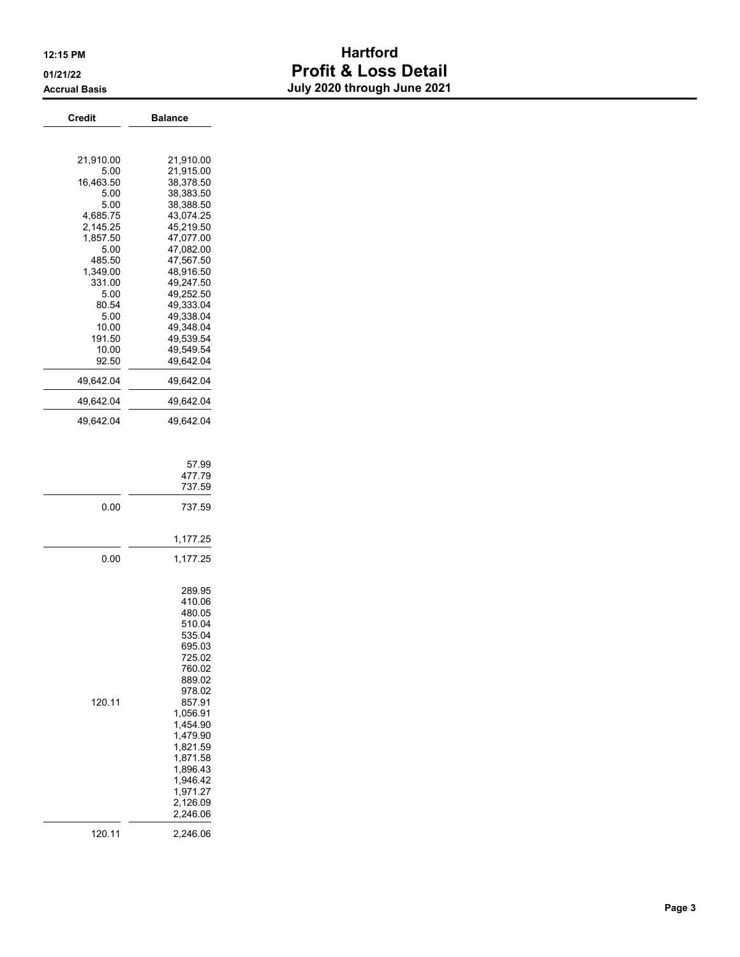# 12:15 PM **Hartford** 01/21/22 **Profit & Loss Detail** Accrual Basis **Accrual Basis July 2020 through June 2021**

| <b>Credit</b>                                                                                                                                                                            | <b>Balance</b>                                                                                                                                                                                                                                      |
|------------------------------------------------------------------------------------------------------------------------------------------------------------------------------------------|-----------------------------------------------------------------------------------------------------------------------------------------------------------------------------------------------------------------------------------------------------|
|                                                                                                                                                                                          |                                                                                                                                                                                                                                                     |
| 21,910.00<br>5.00<br>16,463.50<br>5.00<br>5.00<br>4,685.75<br>2,145.25<br>1,857.50<br>5.00<br>485.50<br>1,349.00<br>331.00<br>5.00<br>80.54<br>5.00<br>10.00<br>191.50<br>10.00<br>92.50 | 21,910.00<br>21,915.00<br>38,378.50<br>38,383.50<br>38,388.50<br>43,074.25<br>45,219.50<br>47,077.00<br>47,082.00<br>47,567.50<br>48,916.50<br>49,247.50<br>49,252.50<br>49,333.04<br>49,338.04<br>49,348.04<br>49,539.54<br>49,549.54<br>49,642.04 |
| 49,642.04                                                                                                                                                                                | 49,642.04                                                                                                                                                                                                                                           |
| 49,642.04                                                                                                                                                                                | 49,642.04                                                                                                                                                                                                                                           |
| 49,642.04                                                                                                                                                                                | 49.642.04                                                                                                                                                                                                                                           |
| 0.00                                                                                                                                                                                     | 57.99<br>477.79<br>737.59<br>737.59<br>1,177.25                                                                                                                                                                                                     |
| 0.00                                                                                                                                                                                     | 1,177.25                                                                                                                                                                                                                                            |
| 120.11                                                                                                                                                                                   | 289.95<br>410.06<br>480.05<br>510.04<br>535.04<br>695.03<br>725.02<br>760.02<br>889.02<br>978.02<br>857.91<br>1,056.91<br>1,454.90<br>1,479.90<br>1,821.59<br>1,871.58<br>1,896.43<br>1.946.42<br>1,971.27<br>2.126.09<br>2,246.06                  |
| 120.11                                                                                                                                                                                   | 2,246.06                                                                                                                                                                                                                                            |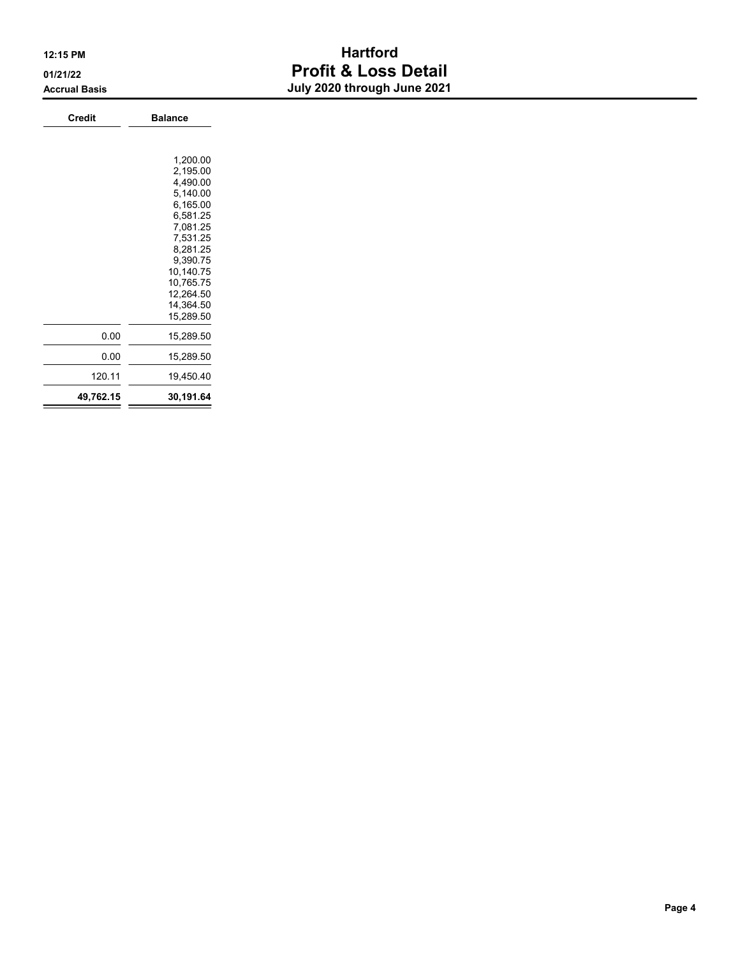# 12:15 PM **Hartford** 01/21/22 **Profit & Loss Detail** Accrual Basis July 2020 through June 2021

| <b>Credit</b> | <b>Balance</b> |
|---------------|----------------|
|               |                |
|               |                |
|               | 1,200.00       |
|               | 2,195.00       |
|               | 4,490.00       |
|               | 5,140.00       |
|               | 6,165.00       |
|               | 6,581.25       |
|               | 7,081.25       |
|               | 7,531.25       |
|               | 8,281.25       |
|               | 9,390.75       |
|               | 10,140.75      |
|               | 10,765.75      |
|               | 12,264.50      |
|               | 14,364.50      |
|               | 15,289.50      |
| 0.00          | 15,289.50      |
| 0.00          | 15,289.50      |
| 120.11        | 19,450.40      |
| 49,762.15     | 30,191.64      |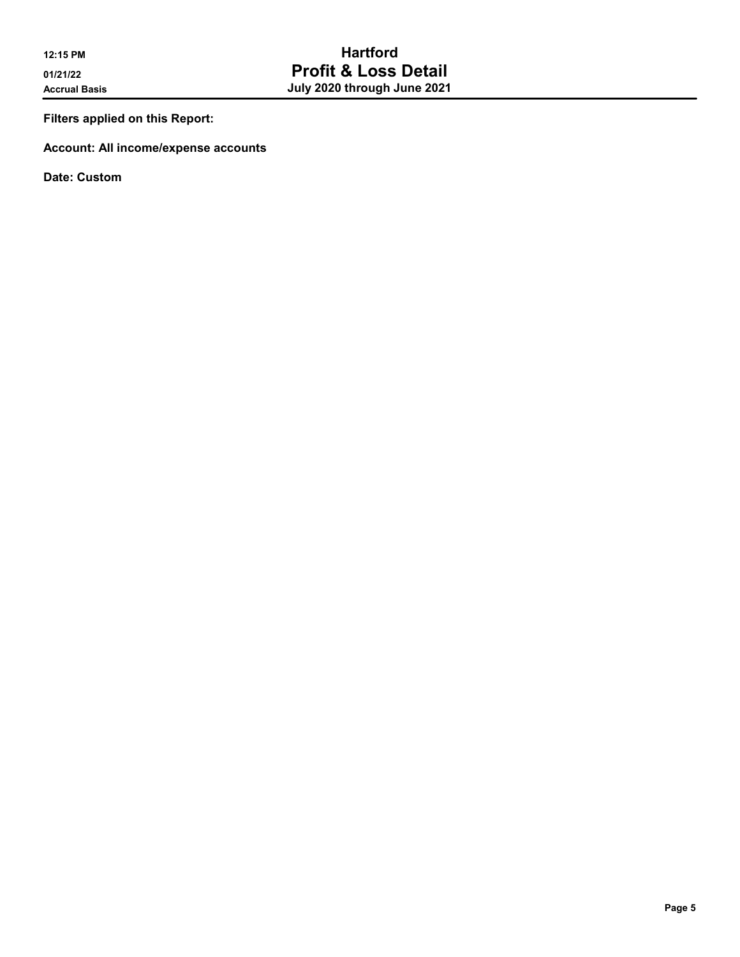Filters applied on this Report:

Account: All income/expense accounts

Date: Custom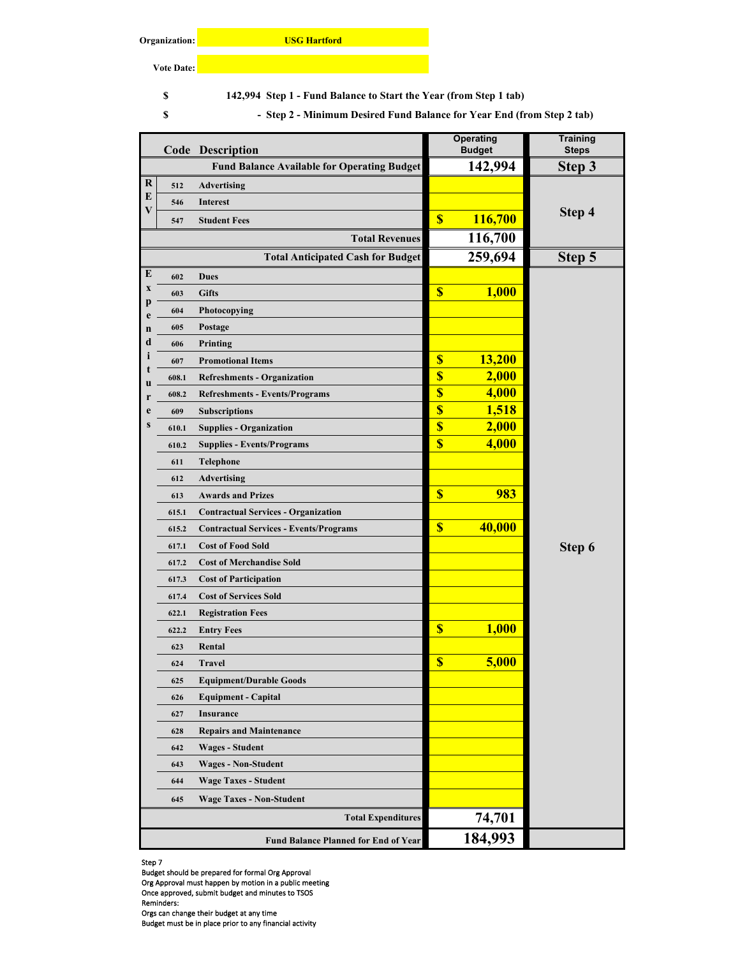#### **Organization:**

**USG Hartford**

**Vote Date:**

**8** 142,994 Step 1 - Fund Balance to Start the Year (from Step 1 tab)

**Step 2 - Minimum Desired Fund Balance for Year End (from Step 2 tab) \$ -** 

|         |       | <b>Code Description</b>                            |                           | <b>Operating</b><br><b>Budget</b> | <b>Training</b><br><b>Steps</b> |
|---------|-------|----------------------------------------------------|---------------------------|-----------------------------------|---------------------------------|
|         |       | <b>Fund Balance Available for Operating Budget</b> |                           | 142,994                           | Step 3                          |
| $\bf R$ | 512   | <b>Advertising</b>                                 |                           |                                   |                                 |
| E       | 546   | <b>Interest</b>                                    |                           |                                   |                                 |
| V       | 547   | <b>Student Fees</b>                                | $\boldsymbol{\mathsf{S}}$ | 116,700                           | Step 4                          |
|         |       | <b>Total Revenues</b>                              |                           | 116,700                           |                                 |
|         |       | <b>Total Anticipated Cash for Budget</b>           |                           | 259,694                           | Step 5                          |
| E       | 602   | <b>Dues</b>                                        |                           |                                   |                                 |
| X       | 603   | <b>Gifts</b>                                       | $\boldsymbol{\mathsf{S}}$ | <b>1,000</b>                      |                                 |
| p<br>e  | 604   | Photocopying                                       |                           |                                   |                                 |
| n       | 605   | Postage                                            |                           |                                   |                                 |
| d       | 606   | Printing                                           |                           |                                   |                                 |
| 1       | 607   | <b>Promotional Items</b>                           | $\boldsymbol{\mathsf{S}}$ | 13,200                            |                                 |
| t<br>u  | 608.1 | <b>Refreshments - Organization</b>                 | \$                        | 2,000                             |                                 |
| r       | 608.2 | <b>Refreshments - Events/Programs</b>              | $\overline{\mathbb{S}}$   | 4,000                             |                                 |
| e       | 609   | <b>Subscriptions</b>                               | $\overline{\mathbb{S}}$   | 1,518                             |                                 |
| S       | 610.1 | <b>Supplies - Organization</b>                     | $\overline{\mathbb{S}}$   | 2,000                             |                                 |
|         | 610.2 | <b>Supplies - Events/Programs</b>                  | $\overline{\mathbf{S}}$   | 4,000                             |                                 |
|         | 611   | <b>Telephone</b>                                   |                           |                                   |                                 |
|         | 612   | Advertising                                        |                           |                                   |                                 |
|         | 613   | <b>Awards and Prizes</b>                           | $\overline{\mathbb{S}}$   | 983                               |                                 |
|         | 615.1 | <b>Contractual Services - Organization</b>         |                           |                                   |                                 |
|         | 615.2 | <b>Contractual Services - Events/Programs</b>      | $\overline{\mathbb{S}}$   | 40,000                            |                                 |
|         | 617.1 | <b>Cost of Food Sold</b>                           |                           |                                   | Step 6                          |
|         | 617.2 | <b>Cost of Merchandise Sold</b>                    |                           |                                   |                                 |
|         | 617.3 | <b>Cost of Participation</b>                       |                           |                                   |                                 |
|         | 617.4 | <b>Cost of Services Sold</b>                       |                           |                                   |                                 |
|         | 622.1 | <b>Registration Fees</b>                           |                           |                                   |                                 |
|         | 622.2 | <b>Entry Fees</b>                                  | $\overline{\mathbb{S}}$   | <b>1,000</b>                      |                                 |
|         | 623   | Rental                                             |                           |                                   |                                 |
|         | 624   | <b>Travel</b>                                      | $\overline{\mathbb{S}}$   | 5,000                             |                                 |
|         | 625   | <b>Equipment/Durable Goods</b>                     |                           |                                   |                                 |
|         | 626   | <b>Equipment - Capital</b>                         |                           |                                   |                                 |
|         | 627   | <b>Insurance</b>                                   |                           |                                   |                                 |
|         | 628   | <b>Repairs and Maintenance</b>                     |                           |                                   |                                 |
|         | 642   | <b>Wages - Student</b>                             |                           |                                   |                                 |
|         | 643   | <b>Wages - Non-Student</b>                         |                           |                                   |                                 |
|         | 644   | <b>Wage Taxes - Student</b>                        |                           |                                   |                                 |
|         | 645   | <b>Wage Taxes - Non-Student</b>                    |                           |                                   |                                 |
|         |       | <b>Total Expenditures</b>                          |                           | 74,701                            |                                 |
|         |       | <b>Fund Balance Planned for End of Year</b>        |                           | 184,993                           |                                 |

Step 7

Budget should be prepared for formal Org Approval

Org Approval must happen by motion in a public meeting

Once approved, submit budget and minutes to TSOS

Orgs can change their budget at any time Budget must be in place prior to any financial activity

Reminders: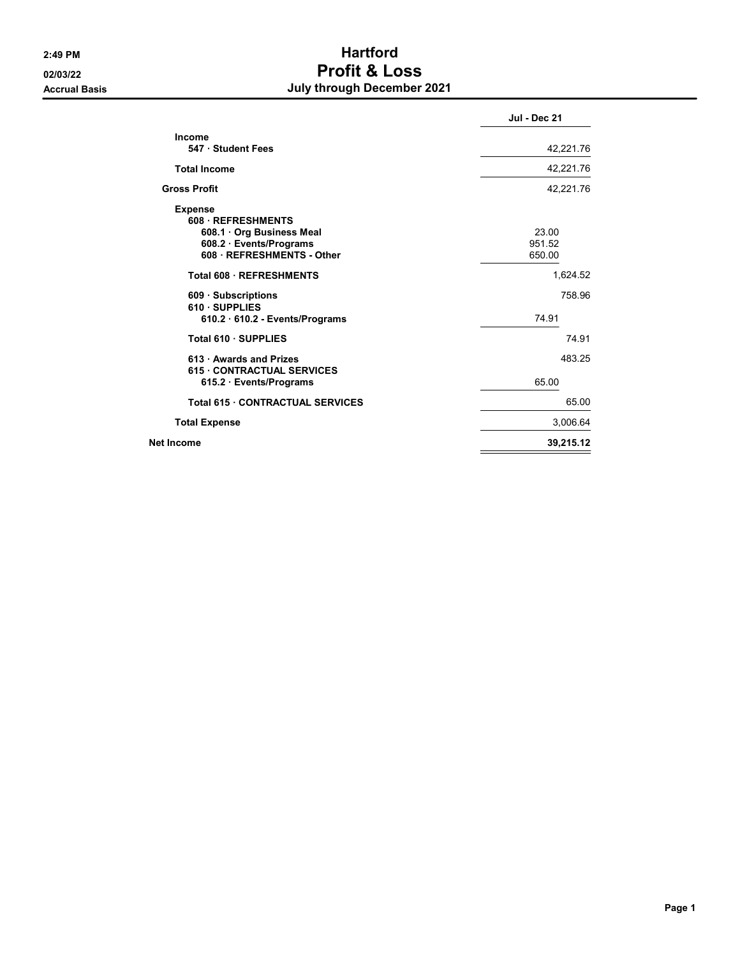# 2:49 PM Hartford 02/03/22 Profit & Loss Accrual Basis **Accrual Basis July through December 2021**

| <b>Jul - Dec 21</b>       |
|---------------------------|
| 42,221.76                 |
| 42,221.76                 |
| 42,221.76                 |
| 23.00<br>951.52<br>650.00 |
| 1,624.52                  |
| 758.96<br>74.91           |
| 74 91                     |
| 483.25<br>65.00           |
| 65.00                     |
| 3,006.64                  |
| 39,215.12                 |
|                           |